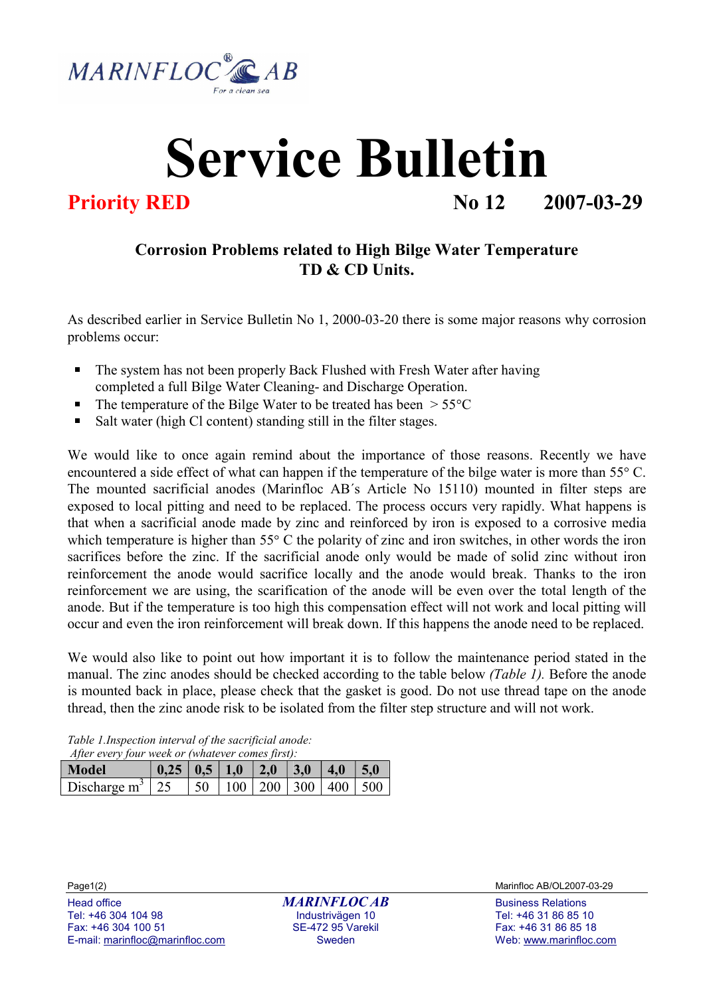

## Service Bulletin

**Priority RED No 12 2007-03-29** 

## Corrosion Problems related to High Bilge Water Temperature TD & CD Units.

As described earlier in Service Bulletin No 1, 2000-03-20 there is some major reasons why corrosion problems occur:

- The system has not been properly Back Flushed with Fresh Water after having completed a full Bilge Water Cleaning- and Discharge Operation.
- The temperature of the Bilge Water to be treated has been  $> 55^{\circ}$ C
- o Salt water (high Cl content) standing still in the filter stages.

We would like to once again remind about the importance of those reasons. Recently we have encountered a side effect of what can happen if the temperature of the bilge water is more than  $55^{\circ}$  C. The mounted sacrificial anodes (Marinfloc AB´s Article No 15110) mounted in filter steps are exposed to local pitting and need to be replaced. The process occurs very rapidly. What happens is that when a sacrificial anode made by zinc and reinforced by iron is exposed to a corrosive media which temperature is higher than  $55^{\circ}$  C the polarity of zinc and iron switches, in other words the iron sacrifices before the zinc. If the sacrificial anode only would be made of solid zinc without iron reinforcement the anode would sacrifice locally and the anode would break. Thanks to the iron reinforcement we are using, the scarification of the anode will be even over the total length of the anode. But if the temperature is too high this compensation effect will not work and local pitting will occur and even the iron reinforcement will break down. If this happens the anode need to be replaced. aacrificial anodes (Marinfloc AB's Article No 15110) mounted in filter steps are<br>acrificial anode to be replaced. The process occurs very rapidly. What happens is<br>plitting and need to be replaced. The process occurs very

anode. But if the temperature is too high this compensation effect will not work and local pitting will<br>
occur and even the iron reinforcement will break down. If this happens the anode need to be replaced.<br>
We would also We would also like to point out how important it is to follow the maintenance period stated in the manual. The zinc anodes should be checked according to the table below (Table 1). Before the anode is mounted back in place, please check that the gasket is good. Do not use thread tape on the anode thread, then the zinc anode risk to be isolated from the filter step structure and will not work.

Table 1.Inspection interval of the sacrificial anode: After every four week or (whatever comes first):

|                                                                  | After every jour week or ewnluever comes first).           |  |  |  |  |             |  |
|------------------------------------------------------------------|------------------------------------------------------------|--|--|--|--|-------------|--|
| Model                                                            | $\vert 0.25 \vert 0.5 \vert 1.0 \vert 2.0 \vert 3.0 \vert$ |  |  |  |  | $ 4.0 $ 5.0 |  |
| Discharge m <sup>3</sup>   25   50   100   200   300   400   500 |                                                            |  |  |  |  |             |  |

Tel: +46 304 104 98 Industrivägen 10 Tel: +46 31 86 85 10 E-mail: marinfloc@marinfloc.com Sweden Web: www.marinfloc.com

Page1(2) Marinfloc AB/OL2007-03-29

Fax: +46 31 86 85 18